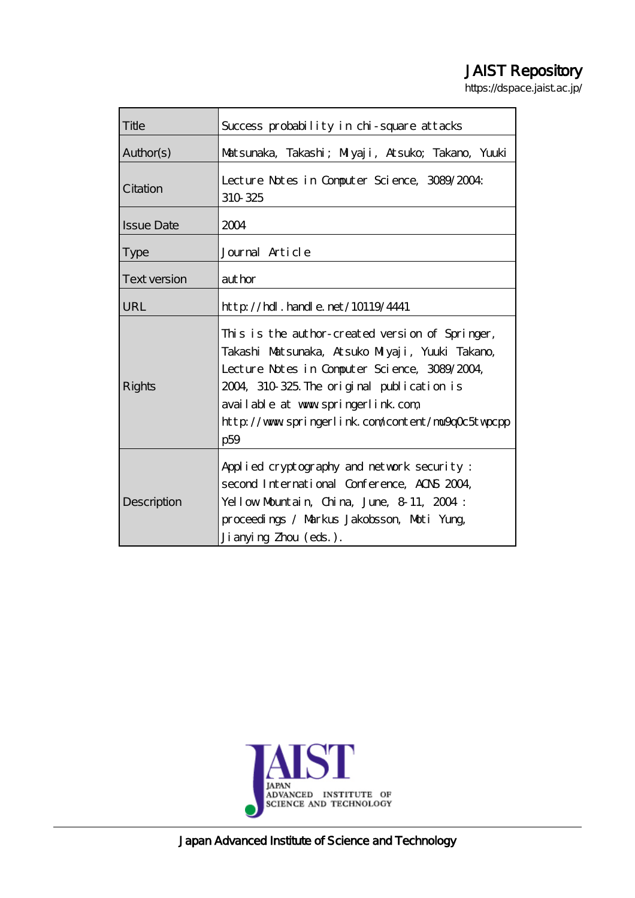# JAIST Repository

https://dspace.jaist.ac.jp/

| Title               | Success probability in chi-square attacks                                                                                                                                                                                                                                                          |
|---------------------|----------------------------------------------------------------------------------------------------------------------------------------------------------------------------------------------------------------------------------------------------------------------------------------------------|
| Author(s)           | Matsunaka, Takashi; Miyaji, Atsuko; Takano, Yuuki                                                                                                                                                                                                                                                  |
| Citation            | Lecture Notes in Computer Science, 3089/2004:<br>310 325                                                                                                                                                                                                                                           |
| <b>Issue Date</b>   | 2004                                                                                                                                                                                                                                                                                               |
| <b>Type</b>         | Journal Article                                                                                                                                                                                                                                                                                    |
| <b>Text version</b> | author                                                                                                                                                                                                                                                                                             |
| URL                 | $http$ // $rdl$ . handle. net/10119/4441                                                                                                                                                                                                                                                           |
| Rights              | This is the author-created version of Springer,<br>Takashi Matsunaka, Atsuko Miyaji, Yuuki Takano,<br>Lecture Notes in Computer Science, 3089/2004,<br>2004, 310 325. The original publication is<br>available at www.springerlink.com<br>http://www.springerlink.com/content/ma9q0c5twpcpp<br>p59 |
| Description         | Applied cryptography and network security:<br>second International Conference, ACNS 2004,<br>Yellow Mountain, China, June, 8-11, 2004:<br>proceedings / Markus Jakobsson, Moti Yung,<br>Ji anyi ng Zhou (eds.).                                                                                    |



Japan Advanced Institute of Science and Technology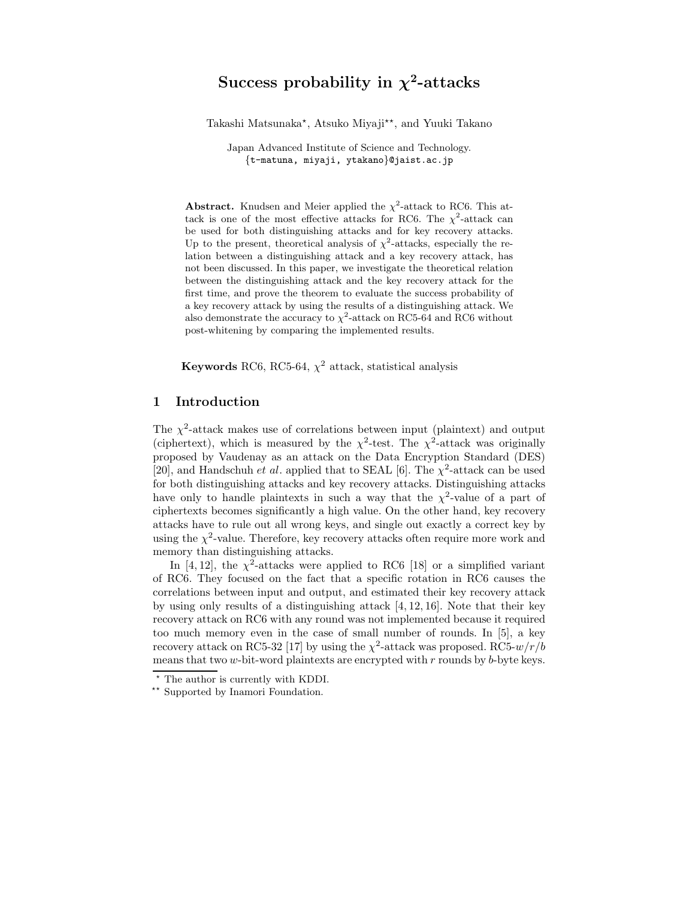# **Success probability in**  $\chi^2$ **-attacks**

Takashi Matsunaka\*, Atsuko Miyaji\*\*, and Yuuki Takano

Japan Advanced Institute of Science and Technology. {t-matuna, miyaji, ytakano}@jaist.ac.jp

**Abstract.** Knudsen and Meier applied the  $\chi^2$ -attack to RC6. This attack is one of the most effective attacks for RC6. The  $\chi^2$ -attack can be used for both distinguishing attacks and for key recovery attacks. Up to the present, theoretical analysis of  $\chi^2$ -attacks, especially the relation between a distinguishing attack and a key recovery attack, has not been discussed. In this paper, we investigate the theoretical relation between the distinguishing attack and the key recovery attack for the first time, and prove the theorem to evaluate the success probability of a key recovery attack by using the results of a distinguishing attack. We also demonstrate the accuracy to  $\chi^2$ -attack on RC5-64 and RC6 without post-whitening by comparing the implemented results.

**Keywords** RC6, RC5-64,  $\chi^2$  attack, statistical analysis

### **1 Introduction**

The  $\chi^2$ -attack makes use of correlations between input (plaintext) and output (ciphertext), which is measured by the  $\chi^2$ -test. The  $\chi^2$ -attack was originally proposed by Vaudenay as an attack on the Data Encryption Standard (DES) [20], and Handschuh *et al.* applied that to SEAL [6]. The  $\chi^2$ -attack can be used for both distinguishing attacks and key recovery attacks. Distinguishing attacks have only to handle plaintexts in such a way that the  $\chi^2$ -value of a part of ciphertexts becomes significantly a high value. On the other hand, key recovery attacks have to rule out all wrong keys, and single out exactly a correct key by using the  $\chi^2$ -value. Therefore, key recovery attacks often require more work and memory than distinguishing attacks.

In [4, 12], the  $\chi^2$ -attacks were applied to RC6 [18] or a simplified variant of RC6. They focused on the fact that a specific rotation in RC6 causes the correlations between input and output, and estimated their key recovery attack by using only results of a distinguishing attack [4, 12, 16]. Note that their key recovery attack on RC6 with any round was not implemented because it required too much memory even in the case of small number of rounds. In [5], a key recovery attack on RC5-32 [17] by using the  $\chi^2$ -attack was proposed. RC5- $w/r/b$ means that two  $w$ -bit-word plaintexts are encrypted with  $r$  rounds by  $b$ -byte keys.

 $*$  The author is currently with KDDI.<br> $*$  Supported by Inamori Foundation.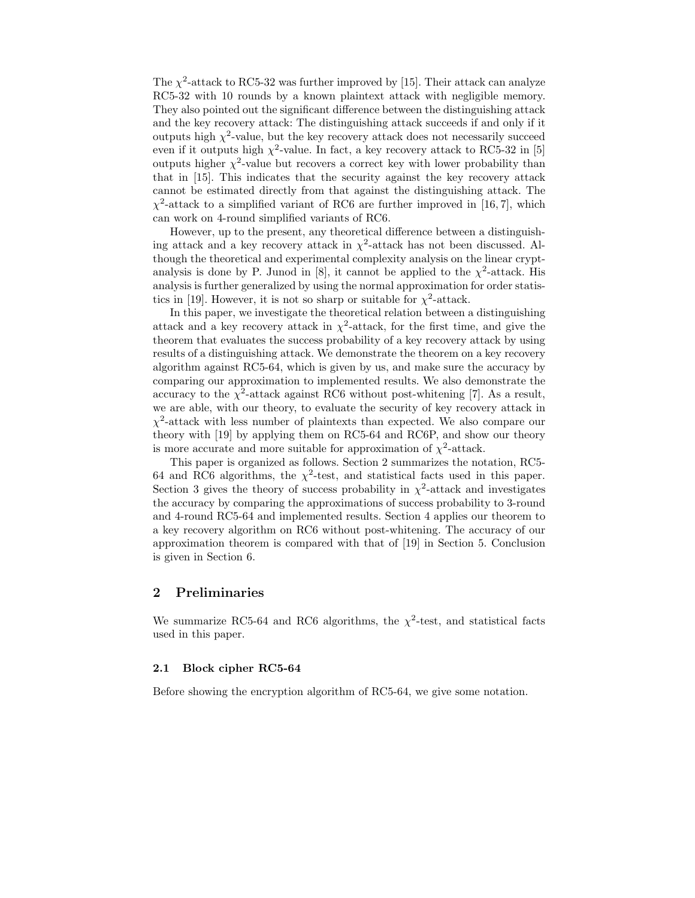The  $\chi^2$ -attack to RC5-32 was further improved by [15]. Their attack can analyze RC5-32 with 10 rounds by a known plaintext attack with negligible memory. They also pointed out the significant difference between the distinguishing attack and the key recovery attack: The distinguishing attack succeeds if and only if it outputs high  $\chi^2$ -value, but the key recovery attack does not necessarily succeed even if it outputs high  $\chi^2$ -value. In fact, a key recovery attack to RC5-32 in [5] outputs higher  $\chi^2$ -value but recovers a correct key with lower probability than that in [15]. This indicates that the security against the key recovery attack cannot be estimated directly from that against the distinguishing attack. The  $\chi^2$ -attack to a simplified variant of RC6 are further improved in [16, 7], which can work on 4-round simplified variants of RC6.

However, up to the present, any theoretical difference between a distinguishing attack and a key recovery attack in  $\chi^2$ -attack has not been discussed. Although the theoretical and experimental complexity analysis on the linear cryptanalysis is done by P. Junod in [8], it cannot be applied to the  $\chi^2$ -attack. His analysis is further generalized by using the normal approximation for order statistics in [19]. However, it is not so sharp or suitable for  $\chi^2$ -attack.

In this paper, we investigate the theoretical relation between a distinguishing attack and a key recovery attack in  $\chi^2$ -attack, for the first time, and give the theorem that evaluates the success probability of a key recovery attack by using results of a distinguishing attack. We demonstrate the theorem on a key recovery algorithm against RC5-64, which is given by us, and make sure the accuracy by comparing our approximation to implemented results. We also demonstrate the accuracy to the  $\chi^2$ -attack against RC6 without post-whitening [7]. As a result, we are able, with our theory, to evaluate the security of key recovery attack in  $\chi^2$ -attack with less number of plaintexts than expected. We also compare our theory with [19] by applying them on RC5-64 and RC6P, and show our theory is more accurate and more suitable for approximation of  $\chi^2$ -attack.

This paper is organized as follows. Section 2 summarizes the notation, RC5- 64 and RC6 algorithms, the  $\chi^2$ -test, and statistical facts used in this paper. Section 3 gives the theory of success probability in  $\chi^2$ -attack and investigates the accuracy by comparing the approximations of success probability to 3-round and 4-round RC5-64 and implemented results. Section 4 applies our theorem to a key recovery algorithm on RC6 without post-whitening. The accuracy of our approximation theorem is compared with that of [19] in Section 5. Conclusion is given in Section 6.

### **2 Preliminaries**

We summarize RC5-64 and RC6 algorithms, the  $\chi^2$ -test, and statistical facts used in this paper.

### **2.1 Block cipher RC5-64**

Before showing the encryption algorithm of RC5-64, we give some notation.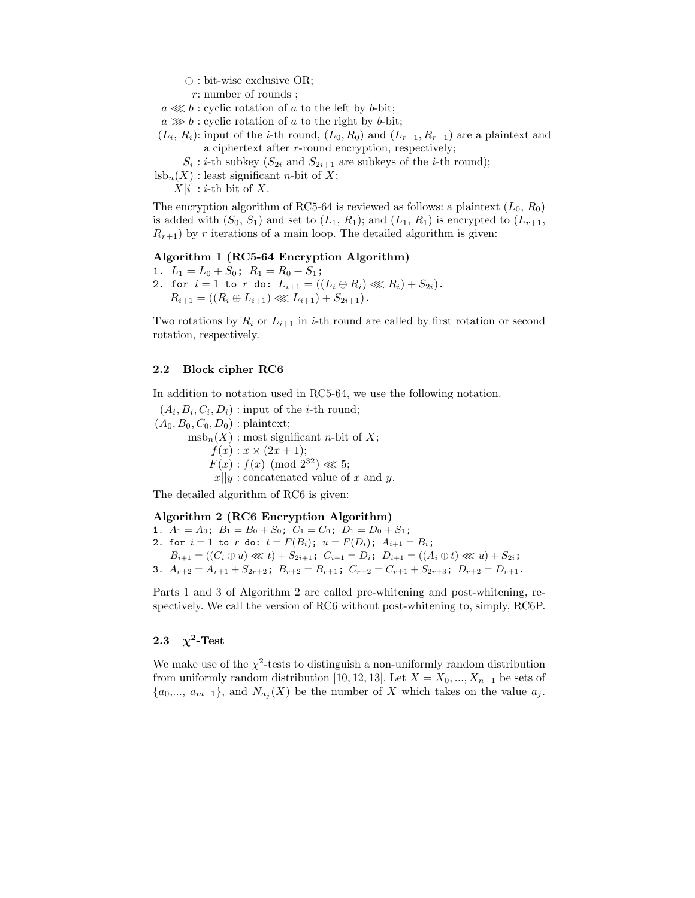- ⊕ : bit-wise exclusive OR;
- r: number of rounds ;
- $a \lll b$ : cyclic rotation of a to the left by b-bit;
- $a \gg b$ : cyclic rotation of a to the right by b-bit;
- $(L_i, R_i)$ : input of the *i*-th round,  $(L_0, R_0)$  and  $(L_{r+1}, R_{r+1})$  are a plaintext and a ciphertext after r-round encryption, respectively;
	- $S_i$ : *i*-th subkey  $(S_{2i}$  and  $S_{2i+1}$  are subkeys of the *i*-th round);

 $\text{lsb}_n(X)$ : least significant *n*-bit of X;

 $X[i]$ : *i*-th bit of X.

The encryption algorithm of RC5-64 is reviewed as follows: a plaintext  $(L_0, R_0)$ is added with  $(S_0, S_1)$  and set to  $(L_1, R_1)$ ; and  $(L_1, R_1)$  is encrypted to  $(L_{r+1},$  $R_{r+1}$ ) by r iterations of a main loop. The detailed algorithm is given:

#### **Algorithm 1 (RC5-64 Encryption Algorithm)**

- 1.  $L_1 = L_0 + S_0$ ;  $R_1 = R_0 + S_1$ ; 2. for  $i = 1$  to r do:  $L_{i+1} = ((L_i \oplus R_i) \lll R_i) + S_{2i}).$ 
	- $R_{i+1} = ((R_i \oplus L_{i+1}) \lll L_{i+1}) + S_{2i+1}).$

Two rotations by  $R_i$  or  $L_{i+1}$  in *i*-th round are called by first rotation or second rotation, respectively.

#### **2.2 Block cipher RC6**

In addition to notation used in RC5-64, we use the following notation.

 $(A_i, B_i, C_i, D_i)$ : input of the *i*-th round;  $(A_0, B_0, C_0, D_0)$ : plaintext;  $msb_n(X)$ : most significant *n*-bit of X;  $f(x) : x \times (2x + 1);$  $F(x) : f(x) \pmod{2^{32}} \ll 5;$  $x||y$ : concatenated value of x and y.

The detailed algorithm of RC6 is given:

### **Algorithm 2 (RC6 Encryption Algorithm)**

1.  $A_1 = A_0$ ;  $B_1 = B_0 + S_0$ ;  $C_1 = C_0$ ;  $D_1 = D_0 + S_1$ ; 2. for  $i = 1$  to r do:  $t = F(B_i)$ ;  $u = F(D_i)$ ;  $A_{i+1} = B_i$ ;  $B_{i+1} = ((C_i \oplus u) \ll l) + S_{2i+1}; C_{i+1} = D_i; D_{i+1} = ((A_i \oplus t) \ll l) + S_{2i};$ 3.  $A_{r+2} = A_{r+1} + S_{2r+2}$ ;  $B_{r+2} = B_{r+1}$ ;  $C_{r+2} = C_{r+1} + S_{2r+3}$ ;  $D_{r+2} = D_{r+1}$ .

Parts 1 and 3 of Algorithm 2 are called pre-whitening and post-whitening, respectively. We call the version of RC6 without post-whitening to, simply, RC6P.

### 2.3  $\chi^2$ **-Test**

We make use of the  $\chi^2$ -tests to distinguish a non-uniformly random distribution from uniformly random distribution [10, 12, 13]. Let  $X = X_0, ..., X_{n-1}$  be sets of  $\{a_0,..., a_{m-1}\},$  and  $N_{a_i}(X)$  be the number of X which takes on the value  $a_j$ .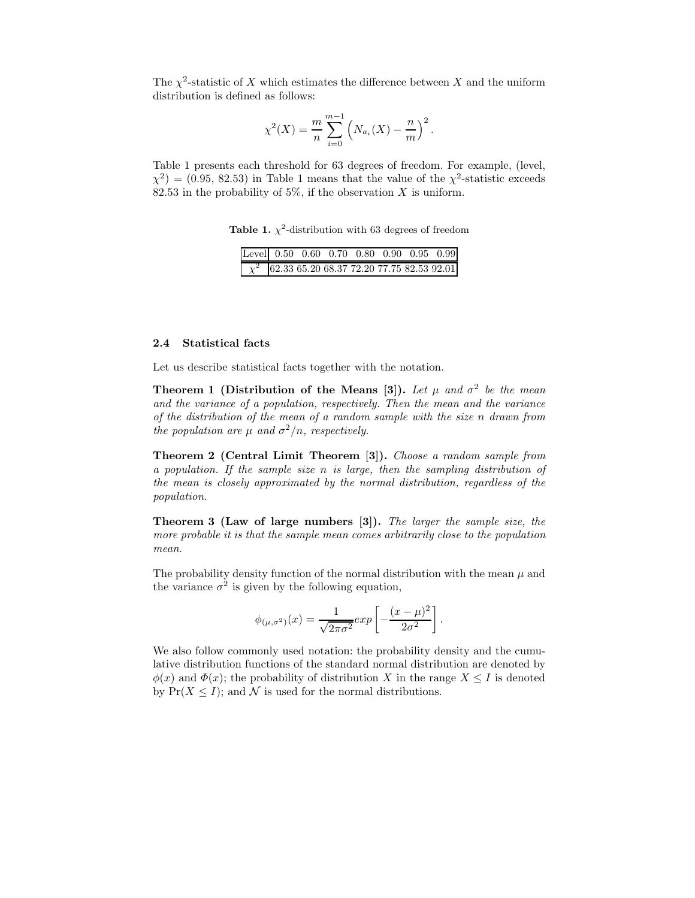The  $\chi^2$ -statistic of X which estimates the difference between X and the uniform distribution is defined as follows:

$$
\chi^{2}(X) = \frac{m}{n} \sum_{i=0}^{m-1} \left( N_{a_{i}}(X) - \frac{n}{m} \right)^{2}.
$$

Table 1 presents each threshold for 63 degrees of freedom. For example, (level,  $\chi^2$  = (0.95, 82.53) in Table 1 means that the value of the  $\chi^2$ -statistic exceeds 82.53 in the probability of 5%, if the observation  $X$  is uniform.

**Table 1.**  $\chi^2$ -distribution with 63 degrees of freedom

|  |  |  | Level 0.50 0.60 0.70 0.80 0.90 0.95 0.99           |
|--|--|--|----------------------------------------------------|
|  |  |  | $\chi^2$ 62.33 65.20 68.37 72.20 77.75 82.53 92.01 |

### **2.4 Statistical facts**

Let us describe statistical facts together with the notation.

**Theorem 1 (Distribution of the Means [3]).** Let  $\mu$  and  $\sigma^2$  be the mean *and the variance of a population, respectively. Then the mean and the variance of the distribution of the mean of a random sample with the size* n *drawn from the population are*  $\mu$  *and*  $\sigma^2/n$ *, respectively.* 

**Theorem 2 (Central Limit Theorem [3]).** *Choose a random sample from a population. If the sample size* n *is large, then the sampling distribution of the mean is closely approximated by the normal distribution, regardless of the population.*

**Theorem 3 (Law of large numbers [3]).** *The larger the sample size, the more probable it is that the sample mean comes arbitrarily close to the population mean.*

The probability density function of the normal distribution with the mean  $\mu$  and the variance  $\sigma^2$  is given by the following equation,

$$
\phi_{(\mu,\sigma^2)}(x)=\frac{1}{\sqrt{2\pi\sigma^2}}exp\left[-\frac{(x-\mu)^2}{2\sigma^2}\right].
$$

We also follow commonly used notation: the probability density and the cumulative distribution functions of the standard normal distribution are denoted by  $\phi(x)$  and  $\Phi(x)$ ; the probability of distribution X in the range  $X \leq I$  is denoted by  $Pr(X \leq I)$ ; and N is used for the normal distributions.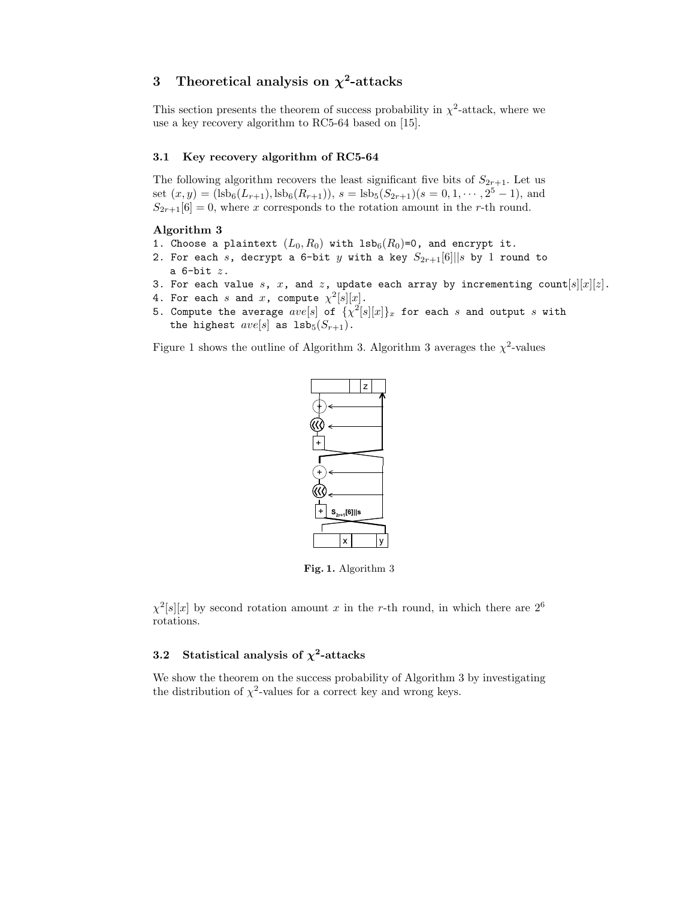# **3 Theoretical analysis on** *χ***<sup>2</sup>-attacks**

This section presents the theorem of success probability in  $\chi^2$ -attack, where we use a key recovery algorithm to RC5-64 based on [15].

### **3.1 Key recovery algorithm of RC5-64**

The following algorithm recovers the least significant five bits of  $S_{2r+1}$ . Let us set  $(x, y) = (lsb<sub>6</sub>(L<sub>r+1</sub>), lsb<sub>6</sub>(R<sub>r+1</sub>)), s = lsb<sub>5</sub>(S<sub>2r+1</sub>)(s = 0, 1, ..., 2<sup>5</sup> - 1), and$  $S_{2r+1}[6] = 0$ , where x corresponds to the rotation amount in the r-th round.

### **Algorithm 3**

- 1. Choose a plaintext  $(L_0, R_0)$  with  $1sb_6(R_0)=0$ , and encrypt it.
- 2. For each s, decrypt a 6-bit y with a key  $S_{2r+1}[6]$ ||s by 1 round to a  $6$ -bit  $z$ .
- 3. For each value s, x, and z, update each array by incrementing count  $[s][x][z]$ .
- 4. For each s and x, compute  $\chi^2[s][x]$ .
- 5. Compute the average  $ave[s]$  of  $\{ \chi^2[s][x] \}_x$  for each s and output s with the highest  $ave[s]$  as  $1sb_5(S_{r+1})$ .

Figure 1 shows the outline of Algorithm 3. Algorithm 3 averages the  $\chi^2$ -values



**Fig. 1.** Algorithm 3

 $\chi^2[s][x]$  by second rotation amount x in the r-th round, in which there are  $2^6$ rotations.

### **3.2** Statistical analysis of  $\chi^2$ -attacks

We show the theorem on the success probability of Algorithm 3 by investigating the distribution of  $\chi^2$ -values for a correct key and wrong keys.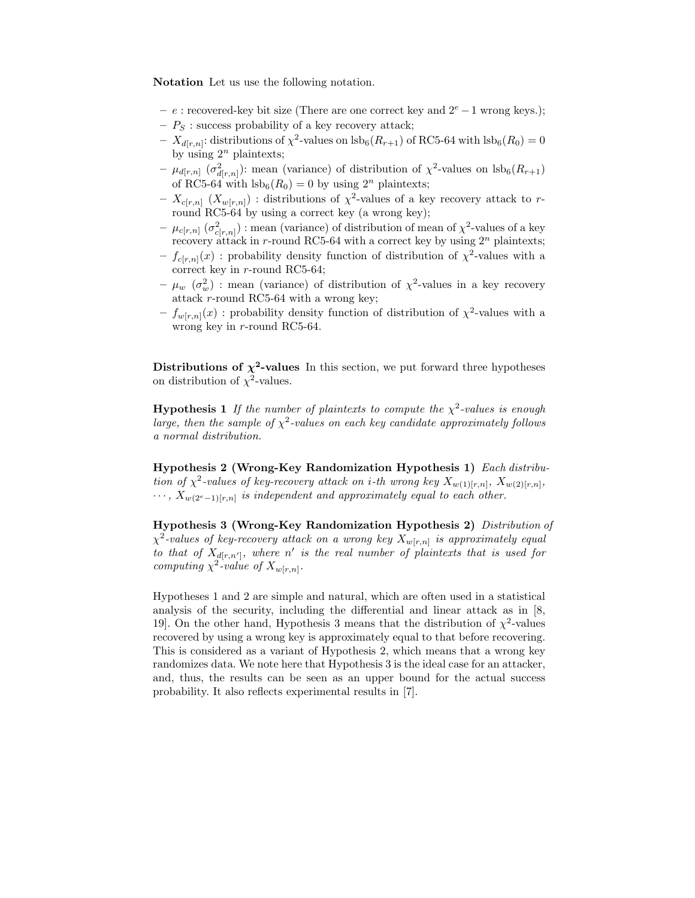**Notation** Let us use the following notation.

- **–** e : recovered-key bit size (There are one correct key and 2<sup>e</sup> −1 wrong keys.);
- $P_S$ : success probability of a key recovery attack;
- $\bar{X}_{d[r,n]}$ : distributions of  $\chi^2$ -values on lsb<sub>6</sub>( $R_{r+1}$ ) of RC5-64 with lsb<sub>6</sub>( $R_0$ ) = 0 by using  $2^n$  plaintexts;
- $\mu_{d[r,n]}$  ( $\sigma^2_{d[r,n]}$ ): mean (variance) of distribution of  $\chi^2$ -values on  $\text{lsb}_6(R_{r+1})$ of RC5-64 with  $\text{lsb}_6(R_0) = 0$  by using  $2^n$  plaintexts;
- $X_{c[r,n]} (X_{w[r,n]})$ : distributions of  $\chi^2$ -values of a key recovery attack to rround RC5-64 by using a correct key (a wrong key);
- $\mu_{c[r,n]}$  ( $\sigma^2_{c[r,n]}$ ) : mean (variance) of distribution of mean of  $\chi^2$ -values of a key recovery attack in r-round RC5-64 with a correct key by using  $2^n$  plaintexts;
- $f_{c[r,n]}(x)$ : probability density function of distribution of  $\chi^2$ -values with a correct key in r-round RC5-64;
- $\mu_w \, (\sigma_w^2)$  : mean (variance) of distribution of  $\chi^2$ -values in a key recovery attack  $r\text{-round RC5-64}$  with a wrong key;
- $-f_{w[r,n]}(x)$ : probability density function of distribution of  $\chi^2$ -values with a wrong key in r-round RC5-64.

**Distributions of**  $\chi^2$ **-values** In this section, we put forward three hypotheses on distribution of  $\chi^2$ -values.

**Hypothesis 1** *If the number of plaintexts to compute the*  $\chi^2$ -values is enough *large, then the sample of*  $\chi^2$ -values on each key candidate approximately follows *a normal distribution.*

**Hypothesis 2 (Wrong-Key Randomization Hypothesis 1)** *Each distribution of*  $\chi^2$ -values of key-recovery attack on *i*-th wrong key  $X_{w(1)[r,n]}$ ,  $X_{w(2)[r,n]}$ ,  $\cdots$ ,  $X_{w(2^e-1)[r,n]}$  *is independent and approximately equal to each other.* 

**Hypothesis 3 (Wrong-Key Randomization Hypothesis 2)** *Distribution of*  $\chi^2$ -values of key-recovery attack on a wrong key  $X_{w[r,n]}$  *is approximately equal to that of*  $X_{d[r,n']}$ *, where* n' *is the real number of plaintexts that is used for computing*  $\chi^2$ *-value of*  $X_{w[r,n]}$ *.* 

Hypotheses 1 and 2 are simple and natural, which are often used in a statistical analysis of the security, including the differential and linear attack as in [8, 19]. On the other hand, Hypothesis 3 means that the distribution of  $\chi^2$ -values recovered by using a wrong key is approximately equal to that before recovering. This is considered as a variant of Hypothesis 2, which means that a wrong key randomizes data. We note here that Hypothesis 3 is the ideal case for an attacker, and, thus, the results can be seen as an upper bound for the actual success probability. It also reflects experimental results in [7].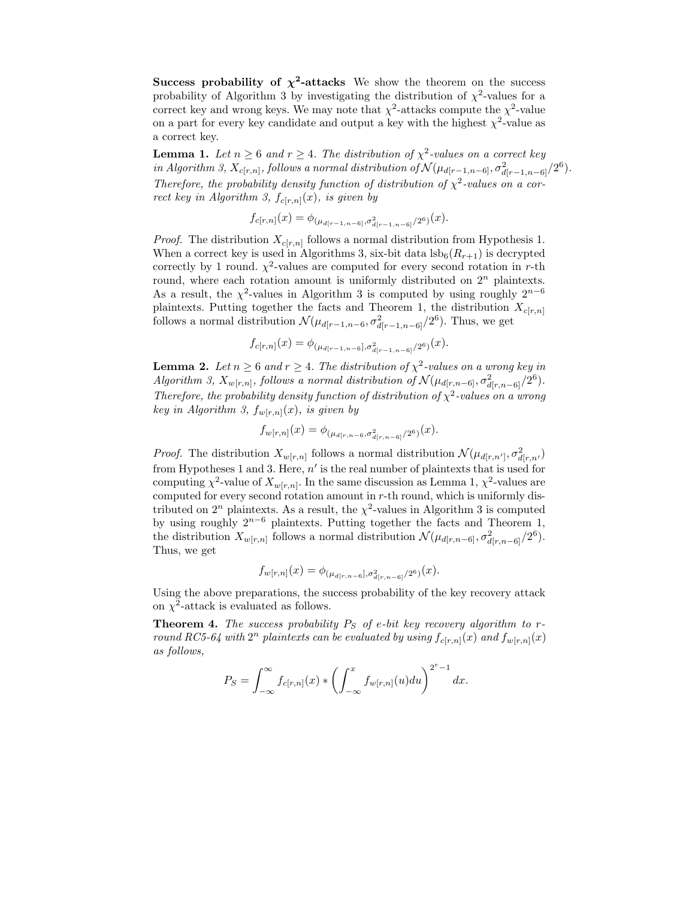**Success probability of**  $\chi^2$ **-attacks** We show the theorem on the success probability of Algorithm 3 by investigating the distribution of  $\chi^2$ -values for a correct key and wrong keys. We may note that  $\chi^2$ -attacks compute the  $\chi^2$ -value on a part for every key candidate and output a key with the highest  $\chi^2$ -value as a correct key.

**Lemma 1.** *Let*  $n \geq 6$  *and*  $r \geq 4$ *. The distribution of*  $\chi^2$ -values on a correct key *in Algorithm 3,*  $X_{c[r,n]}$ *, follows a normal distribution of*  $\mathcal{N}(\mu_{d[r-1,n-6]}, \sigma^2_{d[r-1,n-6]}/2^6)$ *. Therefore, the probability density function of distribution of*  $\chi^2$ -values on a cor*rect key in Algorithm 3,*  $f_{c[r,n]}(x)$ *, is given by* 

$$
f_{c[r,n]}(x) = \phi_{(\mu_{d[r-1,n-6]},\sigma^2_{d[r-1,n-6]}/2^6)}(x).
$$

*Proof.* The distribution  $X_{c[r,n]}$  follows a normal distribution from Hypothesis 1. When a correct key is used in Algorithms 3, six-bit data  $\text{lsb}_6(R_{r+1})$  is decrypted correctly by 1 round.  $\chi^2$ -values are computed for every second rotation in r-th round, where each rotation amount is uniformly distributed on  $2<sup>n</sup>$  plaintexts. As a result, the  $\chi^2$ -values in Algorithm 3 is computed by using roughly  $2^{n-6}$ plaintexts. Putting together the facts and Theorem 1, the distribution  $X_{c[r,n]}$ follows a normal distribution  $\mathcal{N}(\mu_{d[r-1,n-6}, \sigma_{d[r-1,n-6]}^2/2^6)$ . Thus, we get

$$
f_{c[r,n]}(x)=\phi_{(\mu_{d[r-1,n-6]},\sigma^2_{d[r-1,n-6]}/2^6)}(x).
$$

**Lemma 2.** *Let*  $n \geq 6$  *and*  $r \geq 4$ *. The distribution of*  $\chi^2$ -values on a wrong key in *Algorithm 3,*  $X_{w[r,n]}$ *, follows a normal distribution of*  $\mathcal{N}(\mu_{d[r,n-6]}, \sigma^2_{d[r,n-6]}/2^6)$ *. Therefore, the probability density function of distribution of*  $\chi^2$ -values on a wrong *key in Algorithm 3,*  $f_{w[r,n]}(x)$ *, is given by* 

$$
f_{w[r,n]}(x) = \phi_{(\mu_{d[r,n-6}, \sigma^2_{d[r,n-6]}/2^6)}(x).
$$

*Proof.* The distribution  $X_{w[r,n]}$  follows a normal distribution  $\mathcal{N}(\mu_{d[r,n']}, \sigma^2_{d[r,n]})$ from Hypotheses 1 and 3. Here,  $n'$  is the real number of plaintexts that is used for computing  $\chi^2$ -value of  $X_{w[r,n]}$ . In the same discussion as Lemma 1,  $\chi^2$ -values are computed for every second rotation amount in r-th round, which is uniformly distributed on  $2^n$  plaintexts. As a result, the  $\chi^2$ -values in Algorithm 3 is computed by using roughly  $2^{n-6}$  plaintexts. Putting together the facts and Theorem 1, the distribution  $X_{w[r,n]}$  follows a normal distribution  $\mathcal{N}(\mu_{d[r,n-6]}, \sigma^2_{d[r,n-6]}/2^6)$ . Thus, we get

$$
f_{w[r,n]}(x) = \phi_{(\mu_{d[r,n-6]},\sigma^2_{d[r,n-6]}/2^6)}(x).
$$

Using the above preparations, the success probability of the key recovery attack on  $\chi^2$ -attack is evaluated as follows.

**Theorem 4.** *The success probability*  $P_S$  *of*  $e$ *-bit key recovery algorithm to*  $r$ *round RC5-64 with*  $2^n$  *plaintexts can be evaluated by using*  $f_{c[r,n]}(x)$  *and*  $f_{w[r,n]}(x)$ *as follows,*

$$
P_S = \int_{-\infty}^{\infty} f_{c[r,n]}(x) * \left( \int_{-\infty}^{x} f_{w[r,n]}(u) du \right)^{2^e - 1} dx.
$$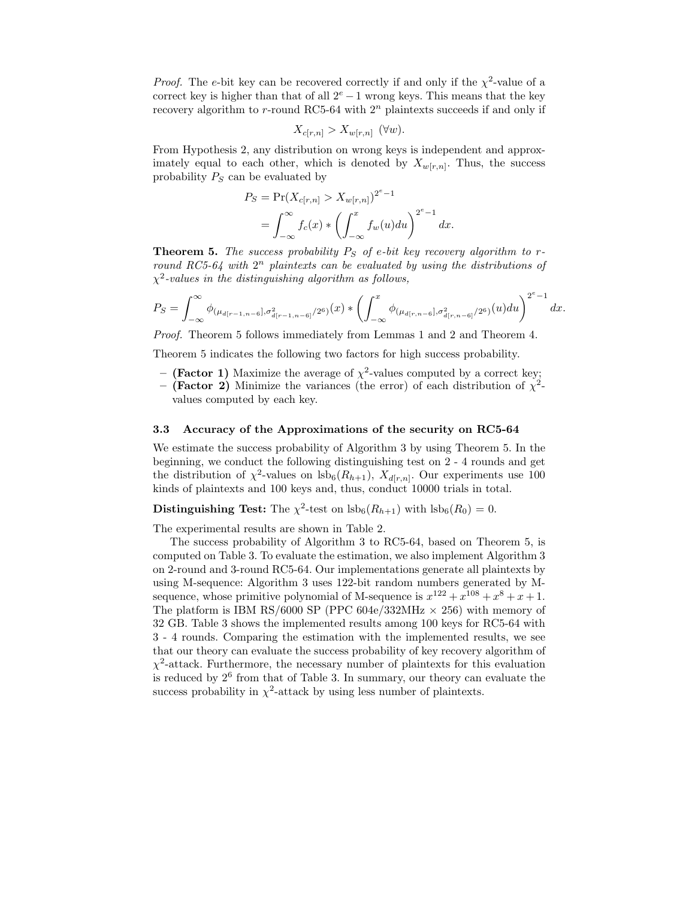*Proof.* The e-bit key can be recovered correctly if and only if the  $\chi^2$ -value of a correct key is higher than that of all  $2^e - 1$  wrong keys. This means that the key recovery algorithm to r-round RC5-64 with  $2<sup>n</sup>$  plaintexts succeeds if and only if

$$
X_{c[r,n]} > X_{w[r,n]} \quad (\forall w).
$$

From Hypothesis 2, any distribution on wrong keys is independent and approximately equal to each other, which is denoted by  $X_{w[r,n]}$ . Thus, the success probability  $P_S$  can be evaluated by

$$
P_S = \Pr(X_{c[r,n]} > X_{w[r,n]})^{2^e - 1}
$$
  
= 
$$
\int_{-\infty}^{\infty} f_c(x) * \left( \int_{-\infty}^x f_w(u) du \right)^{2^e - 1} dx.
$$

**Theorem 5.** The success probability  $P_S$  of e-bit key recovery algorithm to r*round RC5-64 with*  $2^n$  *plaintexts can be evaluated by using the distributions of* χ<sup>2</sup>*-values in the distinguishing algorithm as follows,*

$$
P_S = \int_{-\infty}^{\infty} \phi_{(\mu_{d[r-1,n-6]},\sigma^2_{d[r-1,n-6]}/2^6)}(x) * \left(\int_{-\infty}^x \phi_{(\mu_{d[r,n-6]},\sigma^2_{d[r,n-6]}/2^6)}(u) du\right)^{2^e-1} dx.
$$

*Proof.* Theorem 5 follows immediately from Lemmas 1 and 2 and Theorem 4.

Theorem 5 indicates the following two factors for high success probability.

- **(Factor 1)** Maximize the average of  $\chi^2$ -values computed by a correct key;
- **(Factor 2)** Minimize the variances (the error) of each distribution of  $\chi^2$ values computed by each key.

#### **3.3 Accuracy of the Approximations of the security on RC5-64**

We estimate the success probability of Algorithm 3 by using Theorem 5. In the beginning, we conduct the following distinguishing test on 2 - 4 rounds and get the distribution of  $\chi^2$ -values on lsb<sub>6</sub>( $R_{h+1}$ ),  $X_{d[r,n]}$ . Our experiments use 100 kinds of plaintexts and 100 keys and, thus, conduct 10000 trials in total.

### **Distinguishing Test:** The  $\chi^2$ -test on  $\text{lsb}_6(R_{h+1})$  with  $\text{lsb}_6(R_0) = 0$ .

The experimental results are shown in Table 2.

The success probability of Algorithm 3 to RC5-64, based on Theorem 5, is computed on Table 3. To evaluate the estimation, we also implement Algorithm 3 on 2-round and 3-round RC5-64. Our implementations generate all plaintexts by using M-sequence: Algorithm 3 uses 122-bit random numbers generated by Msequence, whose primitive polynomial of M-sequence is  $x^{122} + x^{108} + x^8 + x + 1$ . The platform is IBM RS/6000 SP (PPC 604e/332MHz  $\times$  256) with memory of 32 GB. Table 3 shows the implemented results among 100 keys for RC5-64 with 3 - 4 rounds. Comparing the estimation with the implemented results, we see that our theory can evaluate the success probability of key recovery algorithm of  $\chi^2$ -attack. Furthermore, the necessary number of plaintexts for this evaluation is reduced by  $2<sup>6</sup>$  from that of Table 3. In summary, our theory can evaluate the success probability in  $\chi^2$ -attack by using less number of plaintexts.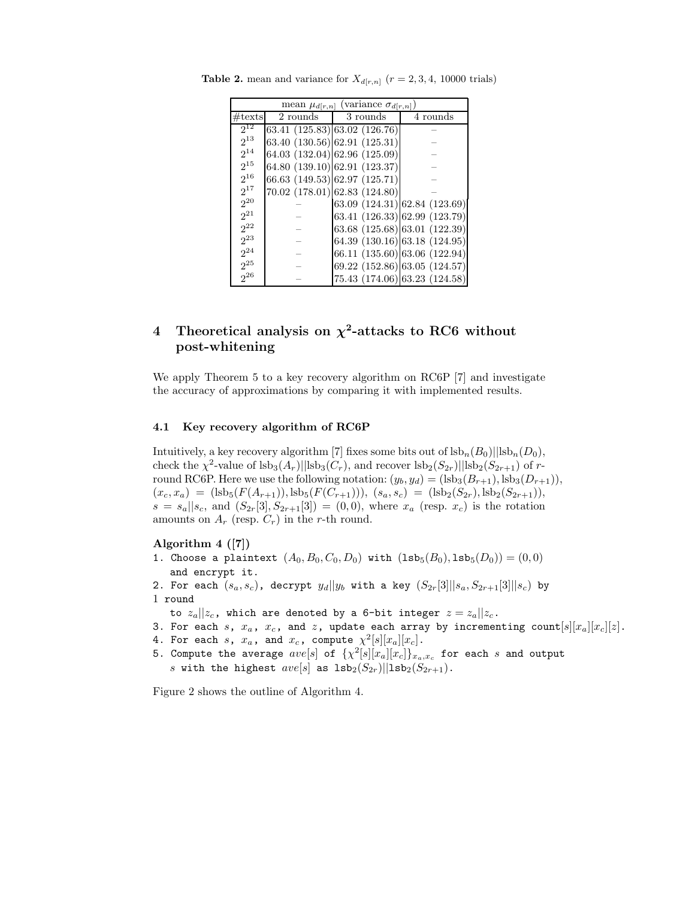|                  | (variance $\sigma_{d[r,n]}$<br>mean $\mu_{d[r,n]}$ |                               |                               |  |  |  |  |  |
|------------------|----------------------------------------------------|-------------------------------|-------------------------------|--|--|--|--|--|
| $\#\text{texts}$ | 2 rounds                                           | 3 rounds                      | 4 rounds                      |  |  |  |  |  |
| $2^{12}$         |                                                    | 63.41 (125.83) 63.02 (126.76) |                               |  |  |  |  |  |
| $2^{13}$         |                                                    | 63.40 (130.56) 62.91 (125.31) |                               |  |  |  |  |  |
| $2^{14}$         |                                                    | 64.03 (132.04) 62.96 (125.09) |                               |  |  |  |  |  |
| $2^{15}$         |                                                    | 64.80 (139.10) 62.91 (123.37) |                               |  |  |  |  |  |
| $2^{16}$         |                                                    | 66.63 (149.53) 62.97 (125.71) |                               |  |  |  |  |  |
| $2^{17}$         |                                                    | 70.02 (178.01) 62.83 (124.80) |                               |  |  |  |  |  |
| $2^{20}$         |                                                    |                               | 63.09 (124.31) 62.84 (123.69) |  |  |  |  |  |
| $2^{21}$         |                                                    |                               | 63.41 (126.33) 62.99 (123.79) |  |  |  |  |  |
| $2^{22}$         |                                                    |                               | 63.68 (125.68) 63.01 (122.39) |  |  |  |  |  |
| $2^{23}$         |                                                    |                               | 64.39 (130.16) 63.18 (124.95) |  |  |  |  |  |
| $2^{24}$         |                                                    |                               | 66.11 (135.60) 63.06 (122.94) |  |  |  |  |  |
| $2^{25}$         |                                                    |                               | 69.22 (152.86) 63.05 (124.57) |  |  |  |  |  |
| $2^{26}$         |                                                    |                               | 75.43 (174.06) 63.23 (124.58) |  |  |  |  |  |

**Table 2.** mean and variance for  $X_{d[r,n]}$  ( $r = 2, 3, 4, 10000$  trials)

### **4 Theoretical analysis on** *χ***<sup>2</sup>-attacks to RC6 without post-whitening**

We apply Theorem 5 to a key recovery algorithm on RC6P [7] and investigate the accuracy of approximations by comparing it with implemented results.

### **4.1 Key recovery algorithm of RC6P**

Intuitively, a key recovery algorithm [7] fixes some bits out of  $\text{lsb}_n(B_0)||\text{lsb}_n(D_0)$ , check the  $\chi^2$ -value of  $\text{lsb}_3(A_r)$ || $\text{lsb}_3(C_r)$ , and recover  $\text{lsb}_2(S_{2r})$ || $\text{lsb}_2(S_{2r+1})$  of rround RC6P. Here we use the following notation:  $(y_b, y_d) = (\text{lsb}_3(B_{r+1}), \text{lsb}_3(D_{r+1})),$  $(x_c, x_a) = (\text{lsb}_5(F(A_{r+1})), \text{lsb}_5(F(C_{r+1}))), (s_a, s_c) = (\text{lsb}_2(S_{2r}), \text{lsb}_2(S_{2r+1})),$  $s = s_a || s_c$ , and  $(S_{2r}[3], S_{2r+1}[3]) = (0, 0)$ , where  $x_a$  (resp.  $x_c$ ) is the rotation amounts on  $A_r$  (resp.  $C_r$ ) in the r-th round.

#### **Algorithm 4 ([7])**

- 1. Choose a plaintext  $(A_0, B_0, C_0, D_0)$  with  $({\rm Isb}_5(B_0), {\rm Isb}_5(D_0)) = (0, 0)$ and encrypt it.
- 2. For each  $(s_a, s_c)$ , decrypt  $y_d||y_b$  with a key  $(S_{2r}[3]||s_a, S_{2r+1}[3]||s_c)$  by 1 round
- to  $z_a||z_c$ , which are denoted by a 6-bit integer  $z = z_a||z_c$ .
- 3. For each s,  $x_a$ ,  $x_c$ , and z, update each array by incrementing count $[s][x_a][x_c][z]$ .
- 4. For each s,  $x_a$ , and  $x_c$ , compute  $\chi^2[s][x_a][x_c]$ .
- 5. Compute the average  $ave[s]$  of  $\{\chi^2[s][x_a][x_c]\}_{x_a,x_c}$  for each s and output s with the highest  $ave[s]$  as  $1sb_2(S_{2r})||1sb_2(S_{2r+1})$ .

Figure 2 shows the outline of Algorithm 4.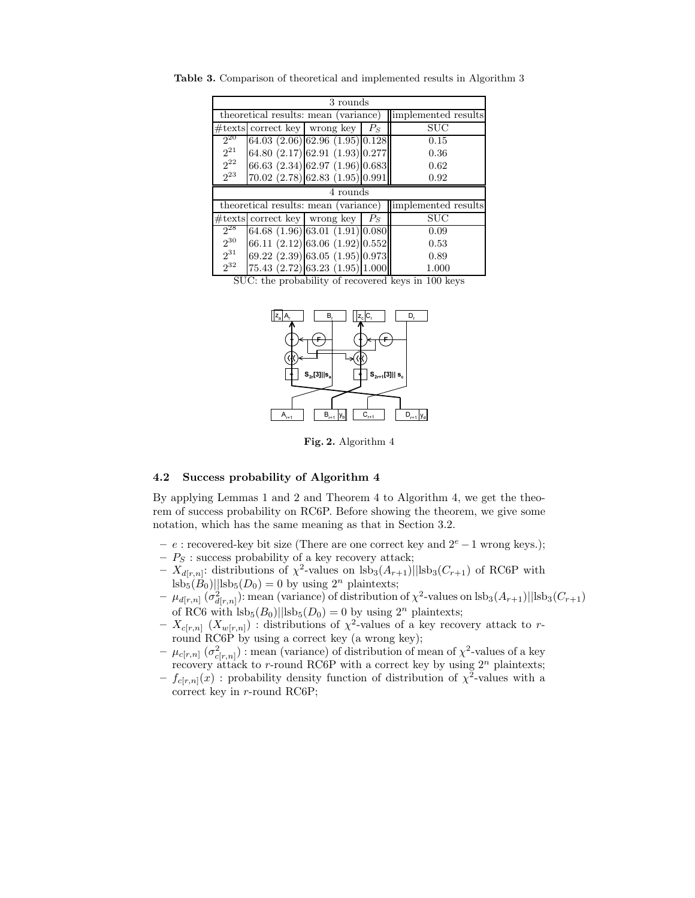| 3 rounds             |  |                                                           |       |                      |  |  |  |
|----------------------|--|-----------------------------------------------------------|-------|----------------------|--|--|--|
|                      |  | theoretical results: mean (variance) limplemented results |       |                      |  |  |  |
|                      |  | $\#$ texts correct key wrong key                          | $P_S$ | $\rm SUC$            |  |  |  |
| $2^{20}$             |  | $64.03$ $(2.06)$ $62.96$ $(1.95)$ $0.128$                 |       | 0.15                 |  |  |  |
| $2^{21}$             |  | 64.80 $(2.17)$ 62.91 $(1.93)$ 0.277                       |       | 0.36                 |  |  |  |
| $2^{22}$             |  | 66.63 (2.34) 62.97 (1.96) 0.683                           |       | 0.62                 |  |  |  |
| $2^{23}$             |  | $70.02$ $(2.78)$ 62.83 $(1.95)$ 0.991                     |       | 0.92                 |  |  |  |
| 4 rounds             |  |                                                           |       |                      |  |  |  |
|                      |  |                                                           |       |                      |  |  |  |
|                      |  | theoretical results: mean (variance)                      |       | limplemented results |  |  |  |
|                      |  | $\#text{texts}$ correct key wrong key                     | $P_S$ | <b>SUC</b>           |  |  |  |
| $2^{28}$             |  | $64.68$ $(1.96)$ $63.01$ $(1.91)$ $0.080$                 |       | 0.09                 |  |  |  |
| $2^{30}$             |  | 66.11 $(2.12)$ 63.06 $(1.92)$ 0.552                       |       | 0.53                 |  |  |  |
| $2^{31}$<br>$2^{32}$ |  | $(69.22 \ (2.39) \   \ 63.05 \ (1.95) \   \ 0.973]$       |       | 0.89                 |  |  |  |

**Table 3.** Comparison of theoretical and implemented results in Algorithm 3

SUC: the probability of recovered keys in 100 keys



**Fig. 2.** Algorithm 4

### **4.2 Success probability of Algorithm 4**

By applying Lemmas 1 and 2 and Theorem 4 to Algorithm 4, we get the theorem of success probability on RC6P. Before showing the theorem, we give some notation, which has the same meaning as that in Section 3.2.

- **–** e : recovered-key bit size (There are one correct key and 2<sup>e</sup> −1 wrong keys.);
- $P_S$ : success probability of a key recovery attack;
- $-\overline{X}_{d[r,n]}$ : distributions of  $\chi^2$ -values on lsb<sub>3</sub> $(A_{r+1})$ ||lsb<sub>3</sub> $(C_{r+1})$  of RC6P with  $\text{lsb}_5(B_0)||\text{lsb}_5(D_0) = 0$  by using  $2^n$  plaintexts;
- $-\mu_{d[r,n]}(\sigma^2_{d[r,n]})$ : mean (variance) of distribution of  $\chi^2$ -values on lsb<sub>3</sub> $(A_{r+1})$ ||lsb<sub>3</sub> $(C_{r+1})$ of RC6 with  $\vert$ sb<sub>5</sub>( $B_0$ )||lsb<sub>5</sub>( $D_0$ ) = 0 by using  $2^n$  plaintexts;
- $X_{c[r,n]} (X_{w[r,n]})$ : distributions of  $\chi^2$ -values of a key recovery attack to rround RC6P by using a correct key (a wrong key);
- $\mu_{c[r,n]}$  ( $\sigma^2_{c[r,n]}$ ) : mean (variance) of distribution of mean of  $\chi^2$ -values of a key recovery attack to r-round RC6P with a correct key by using  $2^n$  plaintexts;
- $f_{c[r,n]}(\mathbf{x})$ : probability density function of distribution of  $\chi^2$ -values with a correct key in r-round RC6P;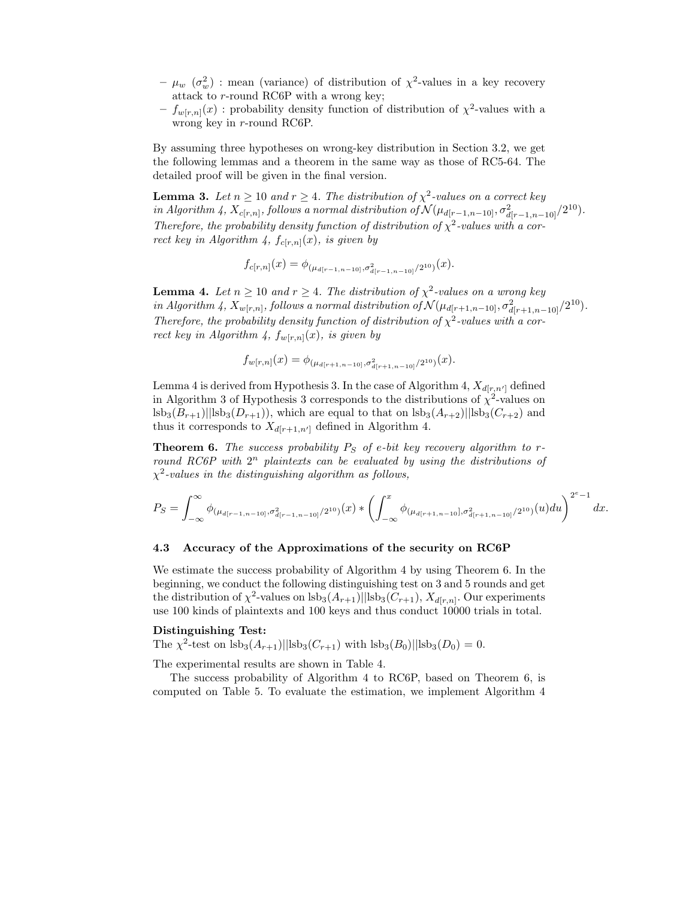- $\mu_w \, (\sigma_w^2)$  : mean (variance) of distribution of  $\chi^2$ -values in a key recovery attack to r-round RC6P with a wrong key;
- $-f_{w[r,n]}(x)$ : probability density function of distribution of  $\chi^2$ -values with a wrong key in r-round RC6P.

By assuming three hypotheses on wrong-key distribution in Section 3.2, we get the following lemmas and a theorem in the same way as those of RC5-64. The detailed proof will be given in the final version.

**Lemma 3.** *Let*  $n \geq 10$  *and*  $r \geq 4$ *. The distribution of*  $\chi^2$ -values on a correct key *in Algorithm 4,*  $X_{c[r,n]}$ *, follows a normal distribution of*  $\mathcal{N}(\mu_{d[r-1,n-10]}, \sigma^2_{d[r-1,n-10]}/2^{10})$ *. Therefore, the probability density function of distribution of*  $\chi^2$ -values with a cor*rect key in Algorithm 4,*  $f_{c[r,n]}(x)$ *, is given by* 

$$
f_{c[r,n]}(x) = \phi_{(\mu_{d[r-1,n-10]},\sigma^2_{d[r-1,n-10]}/2^{10})}(x).
$$

**Lemma 4.** *Let*  $n \geq 10$  *and*  $r \geq 4$ *. The distribution of*  $\chi^2$ -values on a wrong key *in Algorithm 4,* <sup>X</sup>w[r,n]*, follows a normal distribution of* <sup>N</sup> (µd[r+1,n−10], σ<sup>2</sup> <sup>d</sup>[r+1,n−10]/210)*. Therefore, the probability density function of distribution of*  $\chi^2$ -values with a cor*rect key in Algorithm 4,*  $f_{w[r,n]}(x)$ *, is given by* 

$$
f_{w[r,n]}(x) = \phi_{(\mu_{d[r+1,n-10]},\sigma^2_{d[r+1,n-10]}/2^{10})}(x).
$$

Lemma 4 is derived from Hypothesis 3. In the case of Algorithm 4,  $X_{d[r,n']}$  defined in Algorithm 3 of Hypothesis 3 corresponds to the distributions of  $\chi^2$ -values on  $\vert s b_3(B_{r+1}) \vert \vert s b_3(D_{r+1}) \vert$ , which are equal to that on  $\vert s b_3(A_{r+2}) \vert \vert s b_3(C_{r+2})$  and thus it corresponds to  $X_{d[r+1,n']}$  defined in Algorithm 4.

**Theorem 6.** *The success probability*  $P_S$  *of e-bit key recovery algorithm to rround RC6P with*  $2^n$  *plaintexts can be evaluated by using the distributions of* χ<sup>2</sup>*-values in the distinguishing algorithm as follows,*

$$
P_S = \int_{-\infty}^{\infty} \phi_{(\mu_{d[r-1,n-10]},\sigma^2_{d[r-1,n-10]}/2^{10})}(x) * \left(\int_{-\infty}^x \phi_{(\mu_{d[r+1,n-10]},\sigma^2_{d[r+1,n-10]}/2^{10})}(u) du\right)^{2^e-1} dx.
$$

#### **4.3 Accuracy of the Approximations of the security on RC6P**

We estimate the success probability of Algorithm 4 by using Theorem 6. In the beginning, we conduct the following distinguishing test on 3 and 5 rounds and get the distribution of  $\chi^2$ -values on  $\text{lsb}_3(A_{r+1})$ || $\text{lsb}_3(C_{r+1}), X_{d[r,n]}$ . Our experiments use 100 kinds of plaintexts and 100 keys and thus conduct 10000 trials in total.

#### **Distinguishing Test:**

The  $\chi^2$ -test on  $\text{lsb}_3(A_{r+1})$ || $\text{lsb}_3(C_{r+1})$  with  $\text{lsb}_3(B_0)$ || $\text{lsb}_3(D_0) = 0$ .

The experimental results are shown in Table 4.

The success probability of Algorithm 4 to RC6P, based on Theorem 6, is computed on Table 5. To evaluate the estimation, we implement Algorithm 4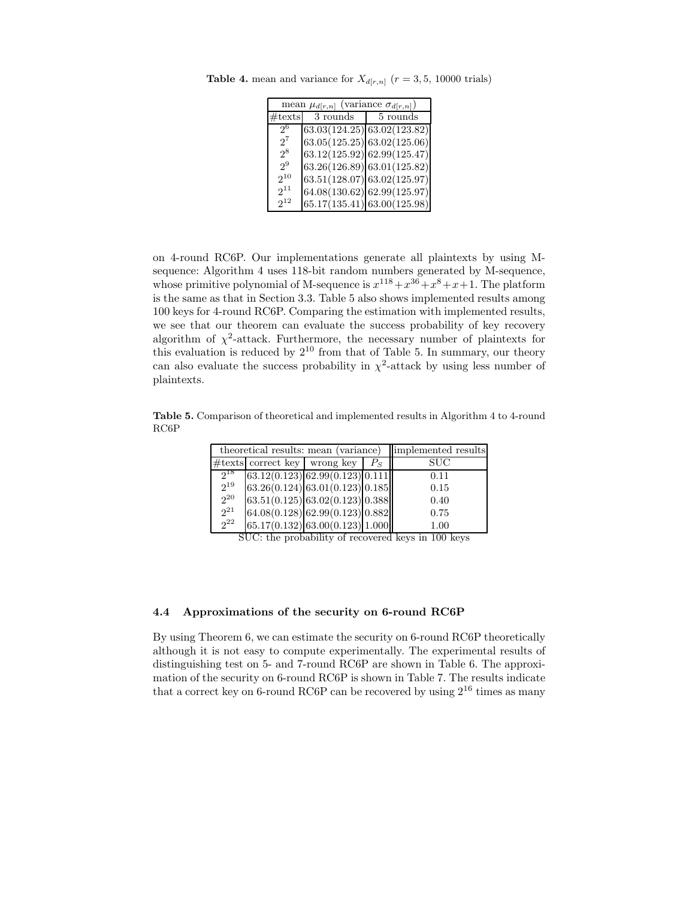| mean $\mu_{d[r,n]}$ (variance $\sigma_{d[r,n]}$ ) |          |                                  |  |  |  |  |
|---------------------------------------------------|----------|----------------------------------|--|--|--|--|
| $\#\text{texts}$                                  | 3 rounds | 5 rounds                         |  |  |  |  |
| 26                                                |          | $(63.03(124.25)\ 63.02(123.82))$ |  |  |  |  |
| $2^7$                                             |          | (63.05(125.25) 63.02(125.06))    |  |  |  |  |
| $2^8$                                             |          | (63.12(125.92) 62.99(125.47))    |  |  |  |  |
| 29                                                |          | (63.26(126.89) 63.01(125.82))    |  |  |  |  |
| $2^{10}$                                          |          | $63.51(128.07)$ 63.02(125.97)    |  |  |  |  |
| $2^{11}$                                          |          | 64.08(130.62) 62.99(125.97)      |  |  |  |  |
| $2^{12}$                                          |          | $(65.17(135.41)\,63.00(125.98))$ |  |  |  |  |

**Table 4.** mean and variance for  $X_{d[r,n]}$  ( $r = 3, 5, 10000$  trials)

on 4-round RC6P. Our implementations generate all plaintexts by using Msequence: Algorithm 4 uses 118-bit random numbers generated by M-sequence, whose primitive polynomial of M-sequence is  $x^{118}+x^{36}+x^8+x+1$ . The platform is the same as that in Section 3.3. Table 5 also shows implemented results among 100 keys for 4-round RC6P. Comparing the estimation with implemented results, we see that our theorem can evaluate the success probability of key recovery algorithm of  $\chi^2$ -attack. Furthermore, the necessary number of plaintexts for this evaluation is reduced by  $2^{10}$  from that of Table 5. In summary, our theory can also evaluate the success probability in  $\chi^2$ -attack by using less number of plaintexts.

**Table 5.** Comparison of theoretical and implemented results in Algorithm 4 to 4-round RC6P

|          | theoretical results: mean (variance) | implemented results               |       |            |
|----------|--------------------------------------|-----------------------------------|-------|------------|
|          | $\#$ texts correct key wrong key     |                                   | $P_S$ | <b>SUC</b> |
| $2^{18}$ |                                      | (63.12(0.123) 62.99(0.123) 0.111) |       | 0.11       |
| $2^{19}$ |                                      | 63.26(0.124) 63.01(0.123) 0.185   |       | 0.15       |
| $2^{20}$ |                                      | 63.51(0.125)63.02(0.123)0.388     |       | 0.40       |
| $2^{21}$ |                                      | 64.08(0.128) 62.99(0.123) 0.882   |       | 0.75       |
| $2^{22}$ |                                      | $65.17(0.132)$ 63.00(0.123) 1.000 |       | 1.00       |

SUC: the probability of recovered keys in 100 keys

### **4.4 Approximations of the security on 6-round RC6P**

By using Theorem 6, we can estimate the security on 6-round RC6P theoretically although it is not easy to compute experimentally. The experimental results of distinguishing test on 5- and 7-round RC6P are shown in Table 6. The approximation of the security on 6-round RC6P is shown in Table 7. The results indicate that a correct key on 6-round RC6P can be recovered by using  $2^{16}$  times as many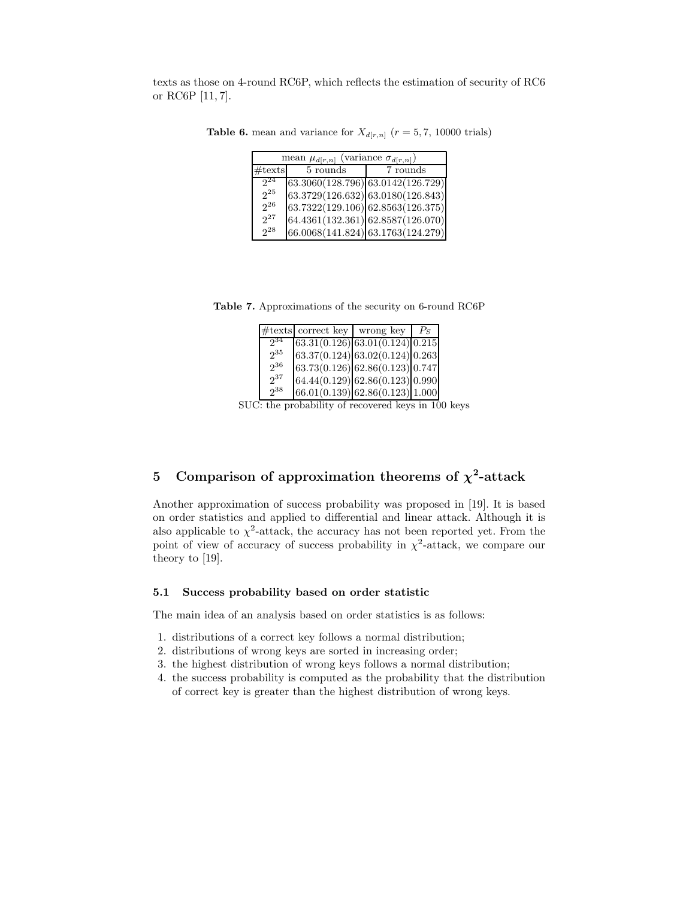texts as those on 4-round RC6P, which reflects the estimation of security of RC6 or RC6P [11, 7].

| mean $\mu_{d[r,n]}$ (variance $\sigma_{d[r,n]}$ ) |          |                                         |  |  |  |  |
|---------------------------------------------------|----------|-----------------------------------------|--|--|--|--|
| #text                                             | 5 rounds | 7 rounds                                |  |  |  |  |
| $2^{24}$                                          |          | (63.3060(128.796) 63.0142(126.729))     |  |  |  |  |
| $2^{25}$                                          |          | (63.3729(126.632)   63.0180(126.843)    |  |  |  |  |
| $2^{26}$                                          |          | (63.7322(129.106) 62.8563(126.375))     |  |  |  |  |
| $2^{27}$                                          |          | $(64.4361(132.361)\,62.8587(126.070)\,$ |  |  |  |  |
| 2 <sup>28</sup>                                   |          | 66.0068(141.824) 63.1763(124.279)       |  |  |  |  |

**Table 6.** mean and variance for  $X_{d[r,n]}$  ( $r = 5, 7, 10000$  trials)

**Table 7.** Approximations of the security on 6-round RC6P

|          | $\#$ texts correct key | wrong key                       | $P_S$ |
|----------|------------------------|---------------------------------|-------|
| 234      |                        | 63.31(0.126) 63.01(0.124) 0.215 |       |
| $2^{35}$ |                        | 63.37(0.124) 63.02(0.124) 0.263 |       |
| 236      |                        | 63.73(0.126) 62.86(0.123) 0.747 |       |
| $2^{37}$ |                        | 64.44(0.129) 62.86(0.123) 0.990 |       |
| $2^{38}$ |                        | 66.01(0.139) 62.86(0.123) 1.000 |       |

SUC: the probability of recovered keys in 100 keys

## **5** Comparison of approximation theorems of  $\chi^2$ -attack

Another approximation of success probability was proposed in [19]. It is based on order statistics and applied to differential and linear attack. Although it is also applicable to  $\chi^2$ -attack, the accuracy has not been reported yet. From the point of view of accuracy of success probability in  $\chi^2$ -attack, we compare our theory to [19].

### **5.1 Success probability based on order statistic**

The main idea of an analysis based on order statistics is as follows:

- 1. distributions of a correct key follows a normal distribution;
- 2. distributions of wrong keys are sorted in increasing order;
- 3. the highest distribution of wrong keys follows a normal distribution;
- 4. the success probability is computed as the probability that the distribution of correct key is greater than the highest distribution of wrong keys.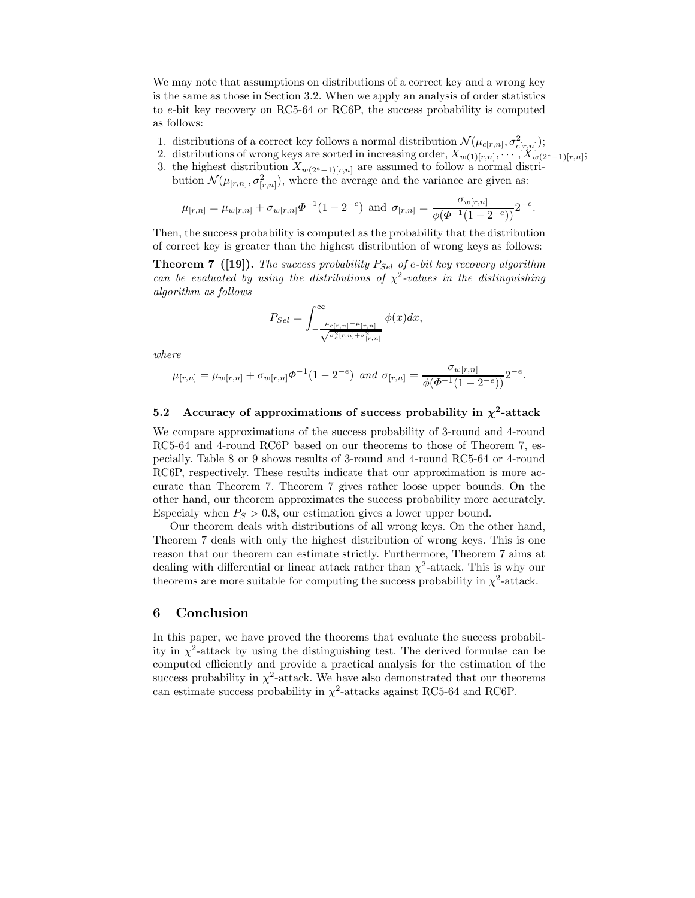We may note that assumptions on distributions of a correct key and a wrong key is the same as those in Section 3.2. When we apply an analysis of order statistics to e-bit key recovery on RC5-64 or RC6P, the success probability is computed as follows:

- 1. distributions of a correct key follows a normal distribution  $\mathcal{N}(\mu_{c[r,n]}, \sigma^2_{c[r,n]})$ ;
- 2. distributions of wrong keys are sorted in increasing order,  $X_{w(1)[r,n]}, \cdots, X_{w(2^e-1)[r,n]};$
- 3. the highest distribution  $X_{w(2^e-1)[r,n]}$  are assumed to follow a normal distribution  $\mathcal{N}(\mu_{[r,n]}, \sigma^2_{[r,n]})$ , where the average and the variance are given as:

$$
\mu_{[r,n]} = \mu_{w[r,n]} + \sigma_{w[r,n]} \Phi^{-1}(1 - 2^{-e}) \text{ and } \sigma_{[r,n]} = \frac{\sigma_{w[r,n]}}{\phi(\Phi^{-1}(1 - 2^{-e}))} 2^{-e}.
$$

Then, the success probability is computed as the probability that the distribution of correct key is greater than the highest distribution of wrong keys as follows:

**Theorem 7** ([19]). *The success probability*  $P_{Sel}$  *of*  $e$ -*bit key recovery algorithm can be evaluated by using the distributions of*  $\chi^2$ -values in the distinguishing *algorithm as follows*

$$
P_{Sel} = \int_{-\frac{\mu_{c[r,n]} - \mu_{[r,n]}}{\sqrt{\sigma_c^2[r,n] + \sigma_{[r,n]}^2}}}^{\infty} \phi(x) dx,
$$

*where*

$$
\mu_{[r,n]} = \mu_{w[r,n]} + \sigma_{w[r,n]} \Phi^{-1}(1 - 2^{-e}) \text{ and } \sigma_{[r,n]} = \frac{\sigma_{w[r,n]}}{\phi(\Phi^{-1}(1 - 2^{-e}))} 2^{-e}.
$$

### **5.2** Accuracy of approximations of success probability in  $\chi^2$ -attack

We compare approximations of the success probability of 3-round and 4-round RC5-64 and 4-round RC6P based on our theorems to those of Theorem 7, especially. Table 8 or 9 shows results of 3-round and 4-round RC5-64 or 4-round RC6P, respectively. These results indicate that our approximation is more accurate than Theorem 7. Theorem 7 gives rather loose upper bounds. On the other hand, our theorem approximates the success probability more accurately. Especialy when  $P_S > 0.8$ , our estimation gives a lower upper bound.

Our theorem deals with distributions of all wrong keys. On the other hand, Theorem 7 deals with only the highest distribution of wrong keys. This is one reason that our theorem can estimate strictly. Furthermore, Theorem 7 aims at dealing with differential or linear attack rather than  $\chi^2$ -attack. This is why our theorems are more suitable for computing the success probability in  $\chi^2$ -attack.

### **6 Conclusion**

In this paper, we have proved the theorems that evaluate the success probability in  $\chi^2$ -attack by using the distinguishing test. The derived formulae can be computed efficiently and provide a practical analysis for the estimation of the success probability in  $\chi^2$ -attack. We have also demonstrated that our theorems can estimate success probability in  $\chi^2$ -attacks against RC5-64 and RC6P.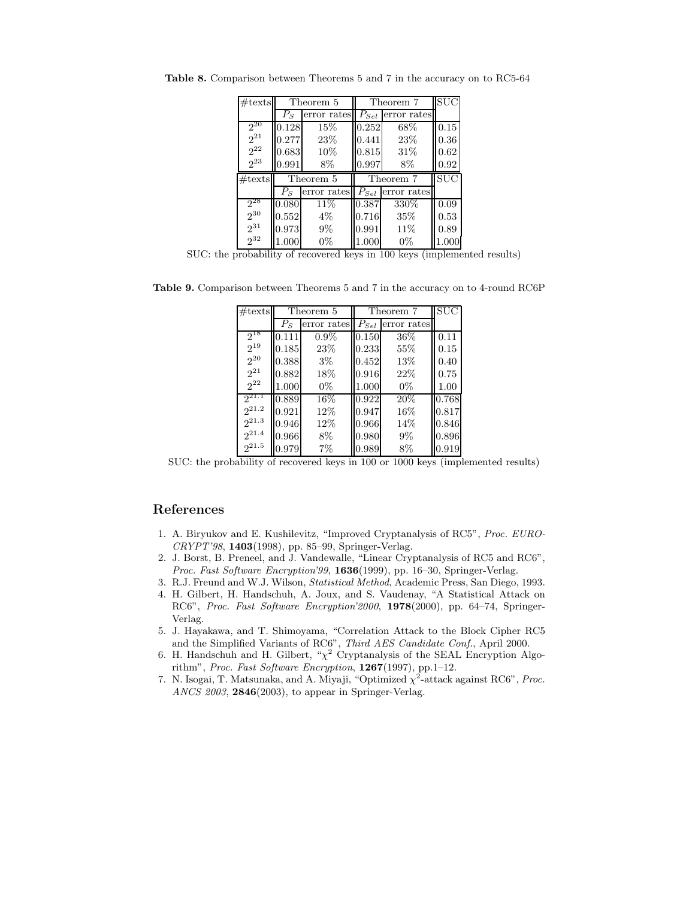| $\#\text{texts}$     | Theorem 5 |             | Theorem 7 |                       | <b>SUC</b> |
|----------------------|-----------|-------------|-----------|-----------------------|------------|
|                      | $P_S$     | error rates | $P_{Sel}$ | error rates           |            |
| $2^{20}$             | 0.128     | 15%         | 0.252     | 68%                   | 0.15       |
| $2^{21}$             | 0.277     | 23%         | 0.441     | 23%                   | 0.36       |
| $2^{22}$             | 0.683     | 10%         | 0.815     | 31%                   | 0.62       |
| $2^{23}$             | 0.991     | 8%          | 0.997     | 8%                    | 0.92       |
|                      | Theorem 5 |             |           |                       |            |
| #texts               |           |             |           | Theorem 7             | <b>SUC</b> |
|                      | $P_S$     | error rates |           | $P_{Sel}$ error rates |            |
| $2^{28}$             | 0.080     | 11%         | 0.387     | 330%                  | 0.09       |
| $2^{30}$             | 0.552     | $4\%$       | 0.716     | 35\%                  | 0.53       |
| $2^{31}$<br>$2^{32}$ | 0.973     | $9\%$       | 0.991     | 11%                   | 0.89       |

**Table 8.** Comparison between Theorems 5 and 7 in the accuracy on to RC5-64

SUC: the probability of recovered keys in 100 keys (implemented results)

**Table 9.** Comparison between Theorems 5 and 7 in the accuracy on to 4-round RC6P

| $\#\text{texts}$ | Theorem 5 |             |           | Theorem 7   |       |
|------------------|-----------|-------------|-----------|-------------|-------|
|                  | $P_S$     | error rates | $P_{Sel}$ | error rates |       |
| $2^{18}$         | 0.111     | $0.9\%$     | 0.150     | 36%         | 0.11  |
| $2^{19}$         | 0.185     | 23\%        | 0.233     | 55%         | 0.15  |
| $2^{20}$         | 0.388     | $3\%$       | 0.452     | 13%         | 0.40  |
| $2^{21}$         | 0.882     | 18%         | 0.916     | 22%         | 0.75  |
| $2^{22}$         | 1.000     | $0\%$       | 1.000     | $0\%$       | 1.00  |
| $2^{21.1}$       | 0.889     | 16%         | 0.922     | 20%         | 0.768 |
| $2^{21.2}$       | 0.921     | 12%         | 0.947     | 16%         | 0.817 |
| $2^{21.3}$       | 0.946     | 12%         | 0.966     | 14%         | 0.846 |
| $2^{21.4}$       | 0.966     | 8%          | 0.980     | 9%          | 0.896 |
| $2^{21.5}$       | 0.979     | $7\%$       | 0.989     | 8%          | 0.919 |

SUC: the probability of recovered keys in 100 or 1000 keys (implemented results)

### **References**

- 1. A. Biryukov and E. Kushilevitz, "Improved Cryptanalysis of RC5", *Proc. EURO-CRYPT'98*, **1403**(1998), pp. 85–99, Springer-Verlag.
- 2. J. Borst, B. Preneel, and J. Vandewalle, "Linear Cryptanalysis of RC5 and RC6", *Proc. Fast Software Encryption'99*, **1636**(1999), pp. 16–30, Springer-Verlag.
- 3. R.J. Freund and W.J. Wilson, *Statistical Method*, Academic Press, San Diego, 1993.
- 4. H. Gilbert, H. Handschuh, A. Joux, and S. Vaudenay, "A Statistical Attack on RC6", *Proc. Fast Software Encryption'2000*, **1978**(2000), pp. 64–74, Springer-Verlag.
- 5. J. Hayakawa, and T. Shimoyama, "Correlation Attack to the Block Cipher RC5 and the Simplified Variants of RC6", *Third AES Candidate Conf.*, April 2000.
- 6. H. Handschuh and H. Gilbert, " $\chi^2$  Cryptanalysis of the SEAL Encryption Algorithm", *Proc. Fast Software Encryption*, **1267**(1997), pp.1–12.
- 7. N. Isogai, T. Matsunaka, and A. Miyaji, "Optimized  $\chi^2$ -attack against RC6", *Proc. ANCS 2003*, **2846**(2003), to appear in Springer-Verlag.